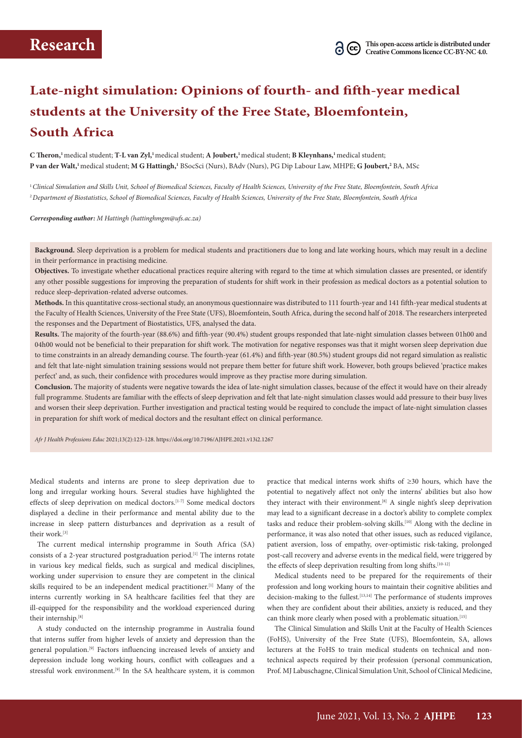# **Late-night simulation: Opinions of fourth- and fifth-year medical students at the University of the Free State, Bloemfontein, South Africa**

**C Theron,1** medical student; **T-L van Zyl,1** medical student; **A Joubert,1** medical student; **B Kleynhans,1** medical student; **P van der Walt,1** medical student; **M G Hattingh,1** BSocSci (Nurs), BAdv (Nurs), PG Dip Labour Law, MHPE; **G Joubert,2** BA, MSc

<sup>1</sup>*Clinical Simulation and Skills Unit, School of Biomedical Sciences, Faculty of Health Sciences, University of the Free State, Bloemfontein, South Africa* <sup>2</sup>*Department of Biostatistics, School of Biomedical Sciences, Faculty of Health Sciences, University of the Free State, Bloemfontein, South Africa*

*Corresponding author: M Hattingh (hattinghmgm@ufs.ac.za)*

**Background.** Sleep deprivation is a problem for medical students and practitioners due to long and late working hours, which may result in a decline in their performance in practising medicine.

**Objectives.** To investigate whether educational practices require altering with regard to the time at which simulation classes are presented, or identify any other possible suggestions for improving the preparation of students for shift work in their profession as medical doctors as a potential solution to reduce sleep-deprivation-related adverse outcomes.

**Methods.** In this quantitative cross-sectional study, an anonymous questionnaire was distributed to 111 fourth-year and 141 fifth-year medical students at the Faculty of Health Sciences, University of the Free State (UFS), Bloemfontein, South Africa, during the second half of 2018. The researchers interpreted the responses and the Department of Biostatistics, UFS, analysed the data.

**Results.** The majority of the fourth-year (88.6%) and fifth-year (90.4%) student groups responded that late-night simulation classes between 01h00 and 04h00 would not be beneficial to their preparation for shift work. The motivation for negative responses was that it might worsen sleep deprivation due to time constraints in an already demanding course. The fourth-year (61.4%) and fifth-year (80.5%) student groups did not regard simulation as realistic and felt that late-night simulation training sessions would not prepare them better for future shift work. However, both groups believed 'practice makes perfect' and, as such, their confidence with procedures would improve as they practise more during simulation.

**Conclusion.** The majority of students were negative towards the idea of late-night simulation classes, because of the effect it would have on their already full programme. Students are familiar with the effects of sleep deprivation and felt that late-night simulation classes would add pressure to their busy lives and worsen their sleep deprivation. Further investigation and practical testing would be required to conclude the impact of late-night simulation classes in preparation for shift work of medical doctors and the resultant effect on clinical performance.

*Afr J Health Professions Educ* 2021;13(2):123-128. https://doi.org/10.7196/AJHPE.2021.v13i2.1267

Medical students and interns are prone to sleep deprivation due to long and irregular working hours. Several studies have highlighted the effects of sleep deprivation on medical doctors.<sup>[1-7]</sup> Some medical doctors displayed a decline in their performance and mental ability due to the increase in sleep pattern disturbances and deprivation as a result of their work.[3]

The current medical internship programme in South Africa (SA) consists of a 2-year structured postgraduation period.<sup>[1]</sup> The interns rotate in various key medical fields, such as surgical and medical disciplines, working under supervision to ensure they are competent in the clinical skills required to be an independent medical practitioner.<sup>[1]</sup> Many of the interns currently working in SA healthcare facilities feel that they are ill-equipped for the responsibility and the workload experienced during their internship.[8]

A study conducted on the internship programme in Australia found that interns suffer from higher levels of anxiety and depression than the general population.[9] Factors influencing increased levels of anxiety and depression include long working hours, conflict with colleagues and a stressful work environment.<sup>[9]</sup> In the SA healthcare system, it is common

practice that medical interns work shifts of ≥30 hours, which have the potential to negatively affect not only the interns' abilities but also how they interact with their environment.<sup>[8]</sup> A single night's sleep deprivation may lead to a significant decrease in a doctor's ability to complete complex tasks and reduce their problem-solving skills.<sup>[10]</sup> Along with the decline in performance, it was also noted that other issues, such as reduced vigilance, patient aversion, loss of empathy, over-optimistic risk-taking, prolonged post-call recovery and adverse events in the medical field, were triggered by the effects of sleep deprivation resulting from long shifts.<sup>[10-12]</sup>

Medical students need to be prepared for the requirements of their profession and long working hours to maintain their cognitive abilities and decision-making to the fullest.<sup>[13,14]</sup> The performance of students improves when they are confident about their abilities, anxiety is reduced, and they can think more clearly when posed with a problematic situation.<sup>[15]</sup>

The Clinical Simulation and Skills Unit at the Faculty of Health Sciences (FoHS), University of the Free State (UFS), Bloemfontein, SA, allows lecturers at the FoHS to train medical students on technical and nontechnical aspects required by their profession (personal communication, Prof. MJ Labuschagne, Clinical Simulation Unit, School of Clinical Medicine,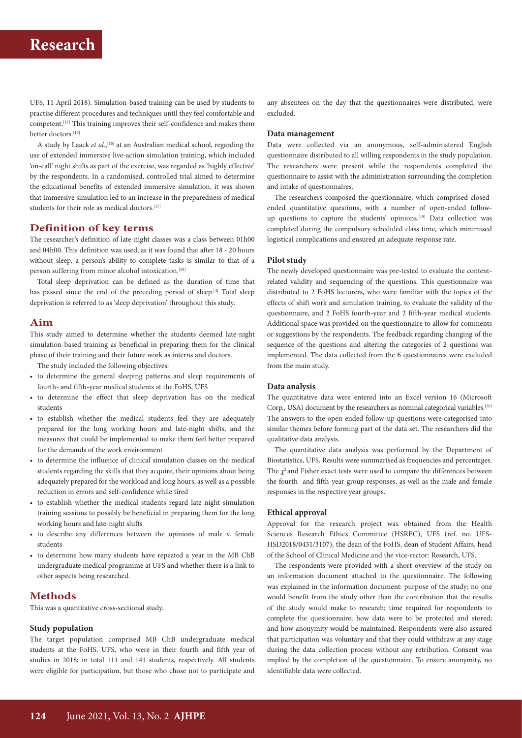# **Research**

UFS, 11 April 2018). Simulation-based training can be used by students to practise different procedures and techniques until they feel comfortable and competent.[15] This training improves their self-confidence and makes them better doctors.[15]

A study by Laack *et al.*,<sup>[16]</sup> at an Australian medical school, regarding the use of extended immersive live-action simulation training, which included 'on-call' night shifts as part of the exercise, was regarded as 'highly effective' by the respondents. In a randomised, controlled trial aimed to determine the educational benefits of extended immersive simulation, it was shown that immersive simulation led to an increase in the preparedness of medical students for their role as medical doctors.<sup>[17]</sup>

# **Definition of key terms**

The researcher's definition of late-night classes was a class between 01h00 and 04h00. This definition was used, as it was found that after 18 - 20 hours without sleep, a person's ability to complete tasks is similar to that of a person suffering from minor alcohol intoxication.<sup>[18]</sup>

Total sleep deprivation can be defined as the duration of time that has passed since the end of the preceding period of sleep.<sup>[4]</sup> Total sleep deprivation is referred to as 'sleep deprivation' throughout this study.

# **Aim**

This study aimed to determine whether the students deemed late-night simulation-based training as beneficial in preparing them for the clinical phase of their training and their future work as interns and doctors.

The study included the following objectives:

- to determine the general sleeping patterns and sleep requirements of fourth- and fifth-year medical students at the FoHS, UFS
- to determine the effect that sleep deprivation has on the medical students
- to establish whether the medical students feel they are adequately prepared for the long working hours and late-night shifts, and the measures that could be implemented to make them feel better prepared for the demands of the work environment
- to determine the influence of clinical simulation classes on the medical students regarding the skills that they acquire, their opinions about being adequately prepared for the workload and long hours, as well as a possible reduction in errors and self-confidence while tired
- to establish whether the medical students regard late-night simulation training sessions to possibly be beneficial in preparing them for the long working hours and late-night shifts
- to describe any differences between the opinions of male v. female students
- to determine how many students have repeated a year in the MB ChB undergraduate medical programme at UFS and whether there is a link to other aspects being researched.

## **Methods**

This was a quantitative cross-sectional study.

## **Study population**

The target population comprised MB ChB undergraduate medical students at the FoHS, UFS, who were in their fourth and fifth year of studies in 2018; in total 111 and 141 students, respectively. All students were eligible for participation, but those who chose not to participate and

any absentees on the day that the questionnaires were distributed, were excluded.

#### **Data management**

Data were collected via an anonymous, self-administered English questionnaire distributed to all willing respondents in the study population. The researchers were present while the respondents completed the questionnaire to assist with the administration surrounding the completion and intake of questionnaires.

The researchers composed the questionnaire, which comprised closedended quantitative questions, with a number of open-ended followup questions to capture the students' opinions.[19] Data collection was completed during the compulsory scheduled class time, which minimised logistical complications and ensured an adequate response rate.

#### **Pilot study**

The newly developed questionnaire was pre-tested to evaluate the contentrelated validity and sequencing of the questions. This questionnaire was distributed to 2 FoHS lecturers, who were familiar with the topics of the effects of shift work and simulation training, to evaluate the validity of the questionnaire, and 2 FoHS fourth-year and 2 fifth-year medical students. Additional space was provided on the questionnaire to allow for comments or suggestions by the respondents. The feedback regarding changing of the sequence of the questions and altering the categories of 2 questions was implemented. The data collected from the 6 questionnaires were excluded from the main study.

### **Data analysis**

The quantitative data were entered into an Excel version 16 (Microsoft Corp., USA) document by the researchers as nominal categorical variables.<sup>[20]</sup> The answers to the open-ended follow-up questions were categorised into similar themes before forming part of the data set. The researchers did the qualitative data analysis.

The quantitative data analysis was performed by the Department of Biostatistics, UFS. Results were summarised as frequencies and percentages. The  $\chi^2$  and Fisher exact tests were used to compare the differences between the fourth- and fifth-year group responses, as well as the male and female responses in the respective year groups.

### **Ethical approval**

Approval for the research project was obtained from the Health Sciences Research Ethics Committee (HSREC), UFS (ref. no. UFS-HSD2018/0431/3107), the dean of the FoHS, dean of Student Affairs, head of the School of Clinical Medicine and the vice-rector: Research, UFS.

The respondents were provided with a short overview of the study on an information document attached to the questionnaire. The following was explained in the information document: purpose of the study; no one would benefit from the study other than the contribution that the results of the study would make to research; time required for respondents to complete the questionnaire; how data were to be protected and stored; and how anonymity would be maintained. Respondents were also assured that participation was voluntary and that they could withdraw at any stage during the data collection process without any retribution. Consent was implied by the completion of the questionnaire. To ensure anonymity, no identifiable data were collected.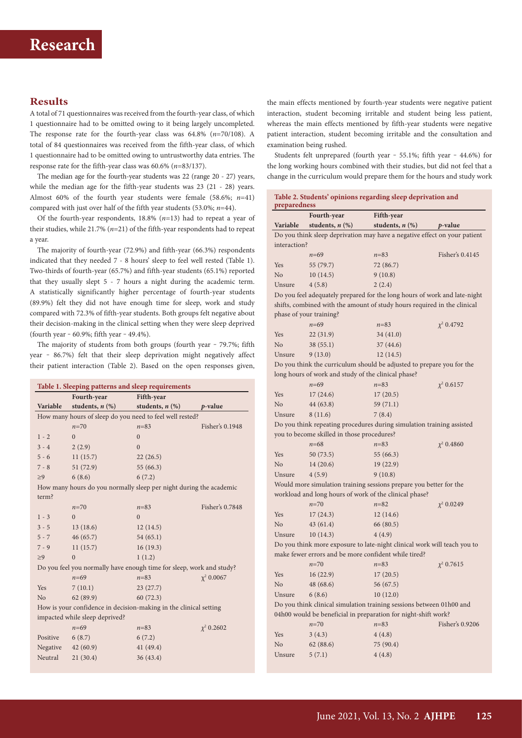# **Results**

A total of 71 questionnaires was received from the fourth-year class, of which 1 questionnaire had to be omitted owing to it being largely uncompleted. The response rate for the fourth-year class was 64.8% (*n*=70/108). A total of 84 questionnaires was received from the fifth-year class, of which 1 questionnaire had to be omitted owing to untrustworthy data entries. The response rate for the fifth-year class was 60.6% (*n*=83/137).

The median age for the fourth-year students was 22 (range 20 - 27) years, while the median age for the fifth-year students was 23 (21 - 28) years. Almost 60% of the fourth year students were female (58.6%; *n*=41) compared with just over half of the fifth year students (53.0%; *n*=44).

Of the fourth-year respondents, 18.8% (*n*=13) had to repeat a year of their studies, while 21.7% (*n*=21) of the fifth-year respondents had to repeat a year.

The majority of fourth-year (72.9%) and fifth-year (66.3%) respondents indicated that they needed 7 - 8 hours' sleep to feel well rested (Table 1). Two-thirds of fourth-year (65.7%) and fifth-year students (65.1%) reported that they usually slept 5 - 7 hours a night during the academic term. A statistically significantly higher percentage of fourth-year students (89.9%) felt they did not have enough time for sleep, work and study compared with 72.3% of fifth-year students. Both groups felt negative about their decision-making in the clinical setting when they were sleep deprived (fourth year  $-60.9\%$ ; fifth year  $-49.4\%$ ).

The majority of students from both groups (fourth year - 79.7%; fifth year - 86.7%) felt that their sleep deprivation might negatively affect their patient interaction (Table 2). Based on the open responses given,

| Table 1. Sleeping patterns and sleep requirements                    |                      |                      |                 |  |
|----------------------------------------------------------------------|----------------------|----------------------|-----------------|--|
|                                                                      | Fourth-year          | Fifth-year           |                 |  |
| Variable                                                             | students, $n$ $(\%)$ | students, $n$ $(\%)$ | $p$ -value      |  |
| How many hours of sleep do you need to feel well rested?             |                      |                      |                 |  |
|                                                                      | $n=70$               | $n = 83$             | Fisher's 0.1948 |  |
| $1 - 2$                                                              | $\Omega$             | $\Omega$             |                 |  |
| $3 - 4$                                                              | 2(2.9)               | $\Omega$             |                 |  |
| $5 - 6$                                                              | 11(15.7)             | 22(26.5)             |                 |  |
| $7 - 8$                                                              | 51(72.9)             | 55 (66.3)            |                 |  |
| >9                                                                   | 6(8.6)               | 6(7.2)               |                 |  |
| How many hours do you normally sleep per night during the academic   |                      |                      |                 |  |
| term?                                                                |                      |                      |                 |  |
|                                                                      | $n = 70$             | $n = 83$             | Fisher's 0.7848 |  |
| $1 - 3$                                                              | $\Omega$             | $\Omega$             |                 |  |
| $3 - 5$                                                              | 13(18.6)             | 12(14.5)             |                 |  |
| $5 - 7$                                                              | 46(65.7)             | 54(65.1)             |                 |  |
| $7 - 9$                                                              | 11(15.7)             | 16(19.3)             |                 |  |
| $\geq 9$                                                             | $\theta$             | 1(1.2)               |                 |  |
| Do you feel you normally have enough time for sleep, work and study? |                      |                      |                 |  |
|                                                                      | $n = 69$             | $n = 83$             | $\chi^2$ 0.0067 |  |
| Yes                                                                  | 7(10.1)              | 23(27.7)             |                 |  |
| N <sub>o</sub>                                                       | 62(89.9)             | 60(72.3)             |                 |  |
| How is your confidence in decision-making in the clinical setting    |                      |                      |                 |  |
| impacted while sleep deprived?                                       |                      |                      |                 |  |
|                                                                      | $n = 69$             | $n = 8.3$            | $\chi^2$ 0.2602 |  |
| Positive                                                             | 6(8.7)               | 6(7.2)               |                 |  |
| Negative                                                             | 42(60.9)             | 41 (49.4)            |                 |  |
| Neutral                                                              | 21(30.4)             | 36(43.4)             |                 |  |
|                                                                      |                      |                      |                 |  |

the main effects mentioned by fourth-year students were negative patient interaction, student becoming irritable and student being less patient, whereas the main effects mentioned by fifth-year students were negative patient interaction, student becoming irritable and the consultation and examination being rushed.

Students felt unprepared (fourth year - 55.1%; fifth year - 44.6%) for the long working hours combined with their studies, but did not feel that a change in the curriculum would prepare them for the hours and study work

| Table 2. Students' opinions regarding sleep deprivation and<br>preparedness |                                                                           |                      |                 |  |  |
|-----------------------------------------------------------------------------|---------------------------------------------------------------------------|----------------------|-----------------|--|--|
|                                                                             | Fourth-year                                                               | Fifth-year           |                 |  |  |
| Variable                                                                    | students, $n$ $(\%)$                                                      | students, $n$ $(\%)$ | <i>p</i> -value |  |  |
|                                                                             | Do you think sleep deprivation may have a negative effect on your patient |                      |                 |  |  |
| interaction?                                                                |                                                                           |                      |                 |  |  |
|                                                                             | $n = 69$                                                                  | $n = 83$             | Fisher's 0.4145 |  |  |
| Yes                                                                         | 55 (79.7)                                                                 | 72 (86.7)            |                 |  |  |
| No                                                                          | 10(14.5)                                                                  | 9(10.8)              |                 |  |  |
| Unsure                                                                      | 4(5.8)                                                                    | 2(2.4)               |                 |  |  |
| Do you feel adequately prepared for the long hours of work and late-night   |                                                                           |                      |                 |  |  |
|                                                                             | shifts, combined with the amount of study hours required in the clinical  |                      |                 |  |  |
|                                                                             | phase of your training?                                                   |                      |                 |  |  |
|                                                                             | $n = 69$                                                                  | $n = 83$             | $\chi^2$ 0.4792 |  |  |
| Yes                                                                         | 22(31.9)                                                                  | 34(41.0)             |                 |  |  |
| No                                                                          | 38(55.1)                                                                  | 37(44.6)             |                 |  |  |
| Unsure                                                                      | 9(13.0)                                                                   | 12(14.5)             |                 |  |  |
| Do you think the curriculum should be adjusted to prepare you for the       |                                                                           |                      |                 |  |  |
| long hours of work and study of the clinical phase?                         |                                                                           |                      |                 |  |  |
|                                                                             | $n = 69$                                                                  | $n = 83$             | $\chi^2$ 0.6157 |  |  |
| Yes                                                                         | 17(24.6)                                                                  | 17(20.5)             |                 |  |  |
| No                                                                          | 44 (63.8)                                                                 | 59 (71.1)            |                 |  |  |
| Unsure                                                                      | 8(11.6)                                                                   | 7(8.4)               |                 |  |  |
|                                                                             | Do you think repeating procedures during simulation training assisted     |                      |                 |  |  |
|                                                                             | you to become skilled in those procedures?                                |                      |                 |  |  |
|                                                                             | $n = 68$                                                                  | $n = 83$             | $\chi^2$ 0.4860 |  |  |
| Yes                                                                         | 50 (73.5)                                                                 | 55 (66.3)            |                 |  |  |
| No                                                                          | 14(20.6)                                                                  | 19(22.9)             |                 |  |  |
| Unsure                                                                      | 4(5.9)                                                                    | 9(10.8)              |                 |  |  |
|                                                                             | Would more simulation training sessions prepare you better for the        |                      |                 |  |  |
| workload and long hours of work of the clinical phase?                      |                                                                           |                      |                 |  |  |
|                                                                             | $n=70$                                                                    | $n = 82$             | $\chi^2$ 0.0249 |  |  |
| <b>Yes</b>                                                                  | 17(24.3)                                                                  | 12(14.6)             |                 |  |  |
| No                                                                          | 43(61.4)                                                                  | 66 (80.5)            |                 |  |  |
| Unsure                                                                      | 10(14.3)                                                                  | 4(4.9)               |                 |  |  |
| Do you think more exposure to late-night clinical work will teach you to    |                                                                           |                      |                 |  |  |
| make fewer errors and be more confident while tired?                        |                                                                           |                      |                 |  |  |
|                                                                             | $n=70$                                                                    | $n = 83$             | $\chi^2$ 0.7615 |  |  |
| Yes                                                                         | 16(22.9)                                                                  | 17(20.5)             |                 |  |  |
| No                                                                          | 48 (68.6)                                                                 | 56 (67.5)            |                 |  |  |
| Unsure                                                                      | 6(8.6)                                                                    | 10(12.0)             |                 |  |  |
| Do you think clinical simulation training sessions between 01h00 and        |                                                                           |                      |                 |  |  |
| 04h00 would be beneficial in preparation for night-shift work?              |                                                                           |                      |                 |  |  |
|                                                                             | $n = 70$                                                                  | $n = 83$             | Fisher's 0.9206 |  |  |
| Yes                                                                         | 3(4.3)                                                                    | 4(4.8)               |                 |  |  |
| No                                                                          | 62(88.6)                                                                  | 75 (90.4)            |                 |  |  |
| Unsure                                                                      | 5(7.1)                                                                    | 4(4.8)               |                 |  |  |
|                                                                             |                                                                           |                      |                 |  |  |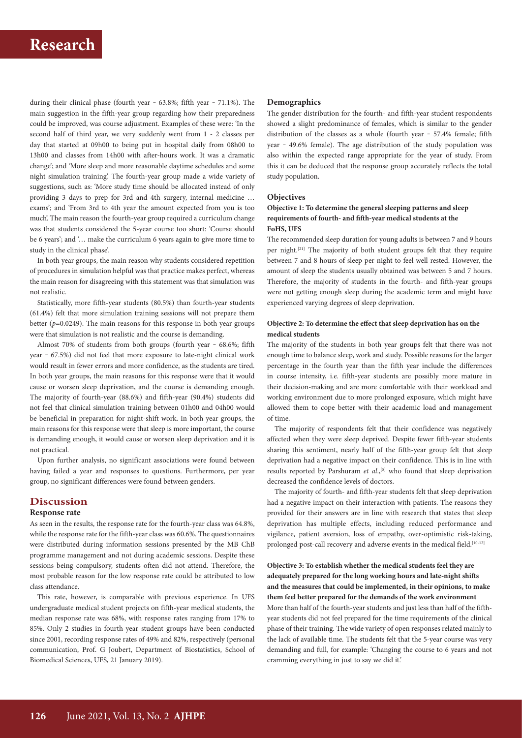during their clinical phase (fourth year  $-$  63.8%; fifth year  $-$  71.1%). The main suggestion in the fifth-year group regarding how their preparedness could be improved, was course adjustment. Examples of these were: 'In the second half of third year, we very suddenly went from 1 - 2 classes per day that started at 09h00 to being put in hospital daily from 08h00 to 13h00 and classes from 14h00 with after-hours work. It was a dramatic change'; and 'More sleep and more reasonable daytime schedules and some night simulation training'. The fourth-year group made a wide variety of suggestions, such as: 'More study time should be allocated instead of only providing 3 days to prep for 3rd and 4th surgery, internal medicine … exams'; and 'From 3rd to 4th year the amount expected from you is too much'. The main reason the fourth-year group required a curriculum change was that students considered the 5-year course too short: 'Course should be 6 years'; and '… make the curriculum 6 years again to give more time to study in the clinical phase'.

In both year groups, the main reason why students considered repetition of procedures in simulation helpful was that practice makes perfect, whereas the main reason for disagreeing with this statement was that simulation was not realistic.

Statistically, more fifth-year students (80.5%) than fourth-year students (61.4%) felt that more simulation training sessions will not prepare them better  $(p=0.0249)$ . The main reasons for this response in both year groups were that simulation is not realistic and the course is demanding.

Almost 70% of students from both groups (fourth year  $-68.6\%$ ; fifth year - 67.5%) did not feel that more exposure to late-night clinical work would result in fewer errors and more confidence, as the students are tired. In both year groups, the main reasons for this response were that it would cause or worsen sleep deprivation, and the course is demanding enough. The majority of fourth-year (88.6%) and fifth-year (90.4%) students did not feel that clinical simulation training between 01h00 and 04h00 would be beneficial in preparation for night-shift work. In both year groups, the main reasons for this response were that sleep is more important, the course is demanding enough, it would cause or worsen sleep deprivation and it is not practical.

Upon further analysis, no significant associations were found between having failed a year and responses to questions. Furthermore, per year group, no significant differences were found between genders.

## **Discussion**

#### **Response rate**

As seen in the results, the response rate for the fourth-year class was 64.8%, while the response rate for the fifth-year class was 60.6%. The questionnaires were distributed during information sessions presented by the MB ChB programme management and not during academic sessions. Despite these sessions being compulsory, students often did not attend. Therefore, the most probable reason for the low response rate could be attributed to low class attendance.

This rate, however, is comparable with previous experience. In UFS undergraduate medical student projects on fifth-year medical students, the median response rate was 68%, with response rates ranging from 17% to 85%. Only 2 studies in fourth-year student groups have been conducted since 2001, recording response rates of 49% and 82%, respectively (personal communication, Prof. G Joubert, Department of Biostatistics, School of Biomedical Sciences, UFS, 21 January 2019).

#### **Demographics**

The gender distribution for the fourth- and fifth-year student respondents showed a slight predominance of females, which is similar to the gender distribution of the classes as a whole (fourth year - 57.4% female; fifth year - 49.6% female). The age distribution of the study population was also within the expected range appropriate for the year of study. From this it can be deduced that the response group accurately reflects the total study population.

## **Objectives**

## **Objective 1: To determine the general sleeping patterns and sleep requirements of fourth- and fifth-year medical students at the FoHS, UFS**

The recommended sleep duration for young adults is between 7 and 9 hours per night.[21] The majority of both student groups felt that they require between 7 and 8 hours of sleep per night to feel well rested. However, the amount of sleep the students usually obtained was between 5 and 7 hours. Therefore, the majority of students in the fourth- and fifth-year groups were not getting enough sleep during the academic term and might have experienced varying degrees of sleep deprivation.

## **Objective 2: To determine the effect that sleep deprivation has on the medical students**

The majority of the students in both year groups felt that there was not enough time to balance sleep, work and study. Possible reasons for the larger percentage in the fourth year than the fifth year include the differences in course intensity, i.e. fifth-year students are possibly more mature in their decision-making and are more comfortable with their workload and working environment due to more prolonged exposure, which might have allowed them to cope better with their academic load and management of time.

The majority of respondents felt that their confidence was negatively affected when they were sleep deprived. Despite fewer fifth-year students sharing this sentiment, nearly half of the fifth-year group felt that sleep deprivation had a negative impact on their confidence. This is in line with results reported by Parshuram *et al.*,<sup>[5]</sup> who found that sleep deprivation decreased the confidence levels of doctors.

The majority of fourth- and fifth-year students felt that sleep deprivation had a negative impact on their interaction with patients. The reasons they provided for their answers are in line with research that states that sleep deprivation has multiple effects, including reduced performance and vigilance, patient aversion, loss of empathy, over-optimistic risk-taking, prolonged post-call recovery and adverse events in the medical field.<sup>[10-12]</sup>

## **Objective 3: To establish whether the medical students feel they are adequately prepared for the long working hours and late-night shifts and the measures that could be implemented, in their opinions, to make them feel better prepared for the demands of the work environment**

More than half of the fourth-year students and just less than half of the fifthyear students did not feel prepared for the time requirements of the clinical phase of their training. The wide variety of open responses related mainly to the lack of available time. The students felt that the 5-year course was very demanding and full, for example: 'Changing the course to 6 years and not cramming everything in just to say we did it.'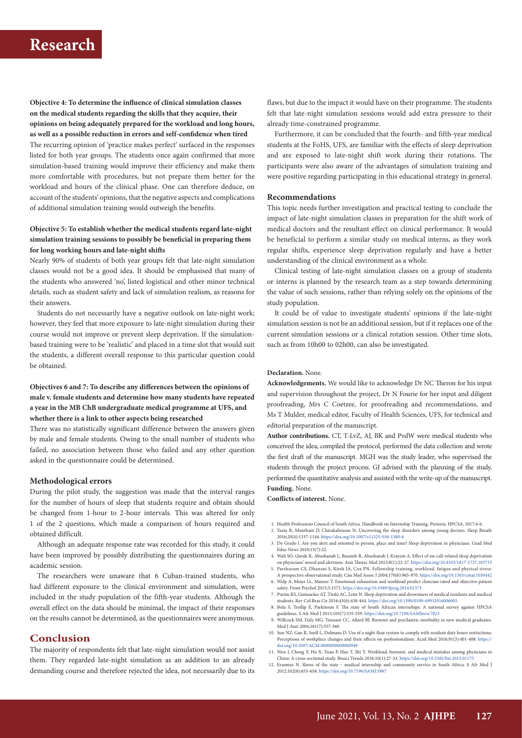# **Research**

**Objective 4: To determine the influence of clinical simulation classes on the medical students regarding the skills that they acquire, their opinions on being adequately prepared for the workload and long hours, as well as a possible reduction in errors and self-confidence when tired** The recurring opinion of 'practice makes perfect' surfaced in the responses listed for both year groups. The students once again confirmed that more simulation-based training would improve their efficiency and make them more comfortable with procedures, but not prepare them better for the workload and hours of the clinical phase. One can therefore deduce, on account of the students' opinions, that the negative aspects and complications of additional simulation training would outweigh the benefits.

## **Objective 5: To establish whether the medical students regard late-night simulation training sessions to possibly be beneficial in preparing them for long working hours and late-night shifts**

Nearly 90% of students of both year groups felt that late-night simulation classes would not be a good idea. It should be emphasised that many of the students who answered 'no', listed logistical and other minor technical details, such as student safety and lack of simulation realism, as reasons for their answers.

Students do not necessarily have a negative outlook on late-night work; however, they feel that more exposure to late-night simulation during their course would not improve or prevent sleep deprivation. If the simulationbased training were to be 'realistic' and placed in a time slot that would suit the students, a different overall response to this particular question could be obtained.

## **Objectives 6 and 7: To describe any differences between the opinions of male v. female students and determine how many students have repeated a year in the MB ChB undergraduate medical programme at UFS, and whether there is a link to other aspects being researched**

There was no statistically significant difference between the answers given by male and female students. Owing to the small number of students who failed, no association between those who failed and any other question asked in the questionnaire could be determined.

#### **Methodological errors**

During the pilot study, the suggestion was made that the interval ranges for the number of hours of sleep that students require and obtain should be changed from 1-hour to 2-hour intervals. This was altered for only 1 of the 2 questions, which made a comparison of hours required and obtained difficult.

Although an adequate response rate was recorded for this study, it could have been improved by possibly distributing the questionnaires during an academic session.

The researchers were unaware that 6 Cuban-trained students, who had different exposure to the clinical environment and simulation, were included in the study population of the fifth-year students. Although the overall effect on the data should be minimal, the impact of their responses on the results cannot be determined, as the questionnaires were anonymous.

# **Conclusion**

The majority of respondents felt that late-night simulation would not assist them. They regarded late-night simulation as an addition to an already demanding course and therefore rejected the idea, not necessarily due to its

flaws, but due to the impact it would have on their programme. The students felt that late-night simulation sessions would add extra pressure to their already time-constrained programme.

Furthermore, it can be concluded that the fourth- and fifth-year medical students at the FoHS, UFS, are familiar with the effects of sleep deprivation and are exposed to late-night shift work during their rotations. The participants were also aware of the advantages of simulation training and were positive regarding participating in this educational strategy in general.

### **Recommendations**

This topic needs further investigation and practical testing to conclude the impact of late-night simulation classes in preparation for the shift work of medical doctors and the resultant effect on clinical performance. It would be beneficial to perform a similar study on medical interns, as they work regular shifts, experience sleep deprivation regularly and have a better understanding of the clinical environment as a whole.

Clinical testing of late-night simulation classes on a group of students or interns is planned by the research team as a step towards determining the value of such sessions, rather than relying solely on the opinions of the study population.

It could be of value to investigate students' opinions if the late-night simulation session is not be an additional session, but if it replaces one of the current simulation sessions or a clinical rotation session. Other time slots, such as from 10h00 to 02h00, can also be investigated.

#### **Declaration.** None.

**Acknowledgements.** We would like to acknowledge Dr NC Theron for his input and supervision throughout the project, Dr N Fourie for her input and diligent proofreading, Mrs C Coetzee, for proofreading and recommendations, and Ms T Mulder, medical editor, Faculty of Health Sciences, UFS, for technical and editorial preparation of the manuscript.

**Author contributions.** CT, T-LvZ, AJ, BK and PvdW were medical students who conceived the idea, compiled the protocol, performed the data collection and wrote the first draft of the manuscript. MGH was the study leader, who supervised the students through the project process. GJ advised with the planning of the study, performed the quantitative analysis and assisted with the write-up of the manuscript. **Funding.** None.

**Conflicts of interest.** None.

- 1. Health Professions Council of South Africa. Handbook on Internship Training. Pretoria: HPCSA, 2017:4-6.
- 2. Yasin R, Muntham D, Chirakalwasan N. Uncovering the sleep disorders among young doctors. Sleep Breath 2016;20(4):1137-1144.<https://doi.org/10.1007/s11325-016-1380-6>
- 3. De Grado J. Are you alert and oriented to person, place and time? Sleep deprivation in physicians. Grad Med Educ News 2010;15(7):22.
- 4. Wali SO, Qutah K, Abushanab L, Basamh R, Abushanab J, Krayem A. Effect of on-call-related sleep deprivation
- on physicians' mood and alertness. Ann Thorac Med 2013;8(1):22-27. <https://doi.org/10.4103/1817-1737.105715> 5. Parshuram CS, Dhanani S, Kirsh JA, Cox PN. Fellowship training, workload, fatigue and physical stress: A prospective observational study. Can Med Assoc J 2004;170(6):965-970. <https://doi.org/10.1503/cmaj.1030442>
- 6. Welp A, Meier LL, Manser T. Emotional exhaustion and workload predict clinician-rated and objective patient safety. Front Psychol 2015;5:1573. <https://doi.org/10.3389/fpsyg.2014.01573>
- 7. Purim KS, Guimarães AT, Titski AC, Leite N. Sleep deprivation and drowsiness of medical residents and medical students. Rev Col Bras Cir 2016;43(6):438-444.<https://doi.org/10.1590/0100-69912016006005>
- 8. Bola S, Trollip E, Parkinson F. The state of South African internships: A national survey against HPCSA guidelines. S Afr Med J 2015;105(7):535-539. <https://doi.org/10.7196/SAMJnew.7923> 9. Willcock SM, Daly MG, Tennant CC, Allard BJ. Burnout and psychiatric morbidity in new medical graduates.
- Med J Aust 2004;181(7):357-360.
- 10. Sun NZ, Gan R, Snell L, Dolmans D. Use of a night float system to comply with resident duty hours restrictions:<br>Perceptions of workplace changes and their effects on professionalism. Acad Med 2016;91(3):401-408. https: [doi.org/10.1097/ACM.0000000000000949](https://doi.org/10.1097/ACM.0000000000000949)
- 11. Wen J, Cheng Y, Hu X, Yuan P, Hao T, Shi Y. Workload, burnout, and medical mistakes among physicians in China: A cross-sectional study. Biosci Trends 2016;10(1):27-33. <https://doi.org/10.5582/bst.2015.01175><br>12. Erasmus N. Slaves of the state - medical internship and community service in South Africa. S Afr Med J
- 2012;102(8):655-658. <https://doi.org/10.7196/SAMJ.5987>